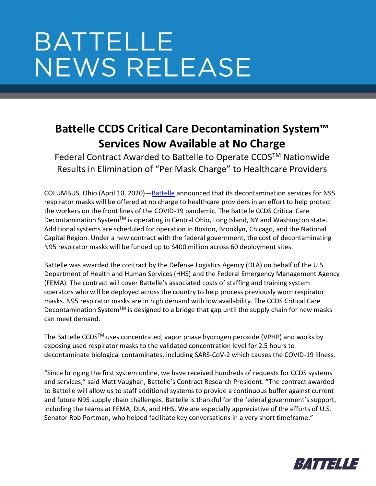## **BATTELLE NEWS RELEASE**

## **Battelle CCDS Critical Care Decontamination System™ Services Now Available at No Charge**

Federal Contract Awarded to Battelle to Operate CCDS™ Nationwide Results in Elimination of "Per Mask Charge" to Healthcare Providers

COLUMBUS, Ohio (April 10, 2020)—[Battelle](https://www.battelle.org/covid19-newsroom/) announced that its decontamination services for N95 respirator masks will be offered at no charge to healthcare providers in an effort to help protect the workers on the front lines of the COVID-19 pandemic. The Battelle CCDS Critical Care Decontamination System™ is operating in Central Ohio, Long Island, NY and Washington state. Additional systems are scheduled for operation in Boston, Brooklyn, Chicago, and the National Capital Region. Under a new contract with the federal government, the cost of decontaminating N95 respirator masks will be funded up to \$400 million across 60 deployment sites.

Battelle was awarded the contract by the Defense Logistics Agency (DLA) on behalf of the U.S Department of Health and Human Services (HHS) and the Federal Emergency Management Agency (FEMA). The contract will cover Battelle's associated costs of staffing and training system operators who will be deployed across the country to help process previously worn respirator masks. N95 respirator masks are in high demand with low availability. The CCDS Critical Care Decontamination System<sup>TM</sup> is designed to a bridge that gap until the supply chain for new masks can meet demand.

The Battelle CCDS™ uses concentrated, vapor phase hydrogen peroxide (VPHP) and works by exposing used respirator masks to the validated concentration level for 2.5 hours to decontaminate biological contaminates, including SARS-CoV-2 which causes the COVID-19 illness.

"Since bringing the first system online, we have received hundreds of requests for CCDS systems and services," said Matt Vaughan, Battelle's Contract Research President. "The contract awarded to Battelle will allow us to staff additional systems to provide a continuous buffer against current and future N95 supply chain challenges. Battelle is thankful for the federal government's support, including the teams at FEMA, DLA, and HHS. We are especially appreciative of the efforts of U.S. Senator Rob Portman, who helped facilitate key conversations in a very short timeframe."

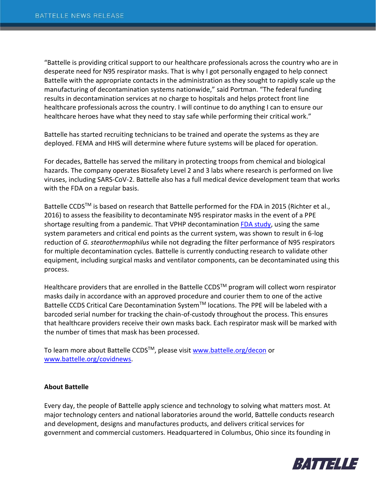"Battelle is providing critical support to our healthcare professionals across the country who are in desperate need for N95 respirator masks. That is why I got personally engaged to help connect Battelle with the appropriate contacts in the administration as they sought to rapidly scale up the manufacturing of decontamination systems nationwide," said Portman. "The federal funding results in decontamination services at no charge to hospitals and helps protect front line healthcare professionals across the country. I will continue to do anything I can to ensure our healthcare heroes have what they need to stay safe while performing their critical work."

Battelle has started recruiting technicians to be trained and operate the systems as they are deployed. FEMA and HHS will determine where future systems will be placed for operation.

For decades, Battelle has served the military in protecting troops from chemical and biological hazards. The company operates Biosafety Level 2 and 3 labs where research is performed on live viruses, including SARS-CoV-2. Battelle also has a full medical device development team that works with the FDA on a regular basis.

Battelle CCDS™ is based on research that Battelle performed for the FDA in 2015 (Richter et al., 2016) to assess the feasibility to decontaminate N95 respirator masks in the event of a PPE shortage resulting from a pandemic. That VPHP decontamination [FDA study,](https://www.fda.gov/emergency-preparedness-and-response/mcm-regulatory-science/investigating-decontamination-and-reuse-respirators-public-health-emergencies) using the same system parameters and critical end points as the current system, was shown to result in 6-log reduction of *G. stearothermophilus* while not degrading the filter performance of N95 respirators for multiple decontamination cycles. Battelle is currently conducting research to validate other equipment, including surgical masks and ventilator components, can be decontaminated using this process.

Healthcare providers that are enrolled in the Battelle CCDS<sup>TM</sup> program will collect worn respirator masks daily in accordance with an approved procedure and courier them to one of the active Battelle CCDS Critical Care Decontamination System™ locations. The PPE will be labeled with a barcoded serial number for tracking the chain-of-custody throughout the process. This ensures that healthcare providers receive their own masks back. Each respirator mask will be marked with the number of times that mask has been processed.

To learn more about Battelle CCDS™, please visit [www.battelle.org/decon](http://www.battelle.org/decon) or [www.battelle.org/covidnews.](http://www.battelle.org/covidnews)

## **About Battelle**

Every day, the people of Battelle apply science and technology to solving what matters most. At major technology centers and national laboratories around the world, Battelle conducts research and development, designs and manufactures products, and delivers critical services for government and commercial customers. Headquartered in Columbus, Ohio since its founding in